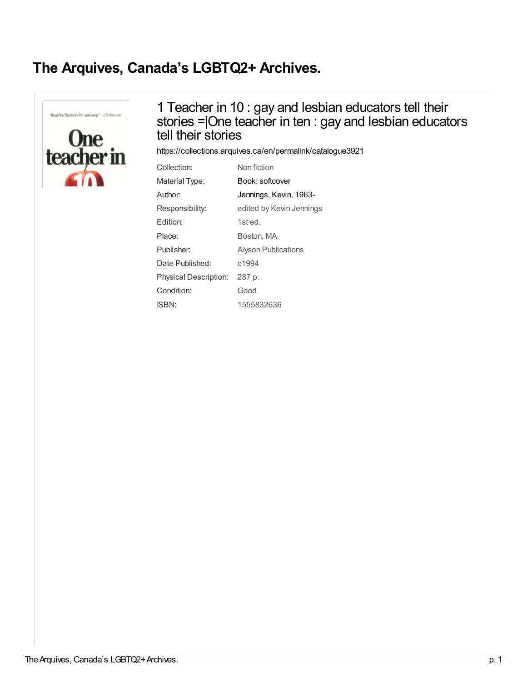## **The Arquives, Canada's [LGBTQ2+](https://collections.arquives.ca/en) Archives.**

"Read One Teacher in 10-and weep."-The Advocate



## 1 Teacher in 10 : gay and lesbian educators tell their stories =|One teacher in ten : gay and lesbian educators tell their stories

<https://collections.arquives.ca/en/permalink/catalogue3921>

| Collection:                  | Non fiction                |
|------------------------------|----------------------------|
| Material Type:               | Book: softcover            |
| Author:                      | Jennings, Kevin, 1963-     |
| Responsibility:              | edited by Kevin Jennings   |
| Edition:                     | 1st ed.                    |
| Place:                       | Boston, MA                 |
| Publisher:                   | <b>Alyson Publications</b> |
| Date Published:              | c1994                      |
| <b>Physical Description:</b> | 287 p.                     |
| Condition:                   | Good                       |
| <b>ISBN:</b>                 | 1555832636                 |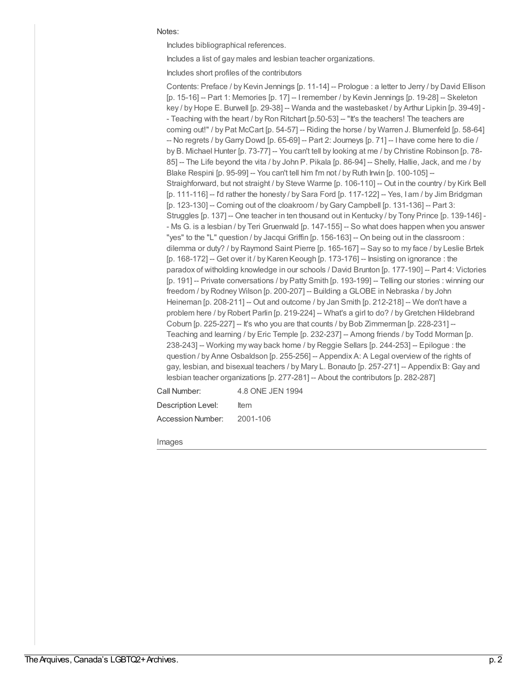## Notes:

Includes bibliographical references.

Includes a list of gay males and lesbian teacher organizations.

Includes short profiles of the contributors

Contents: Preface / by Kevin Jennings [p. 11-14] -- Prologue : a letter to Jerry / by David Ellison [p. 15-16] -- Part 1: Memories [p. 17] -- Iremember / by Kevin Jennings [p. 19-28] -- Skeleton key / by Hope E. Burwell [p. 29-38] -- Wanda and the wastebasket / by Arthur Lipkin [p. 39-49] - - Teaching with the heart / by Ron Ritchart [p.50-53] -- "It's the teachers! The teachers are coming out!" / by Pat McCart [p. 54-57] -- Riding the horse / by Warren J. Blumenfeld [p. 58-64] -- No regrets / byGarry Dowd [p. 65-69] -- Part 2: Journeys [p. 71] -- I have come here to die / by B. Michael Hunter [p. 73-77] -- You can't tell by looking at me / by Christine Robinson [p. 78- 85] -- The Life beyond the vita / by John P. Pikala [p. 86-94] -- Shelly, Hallie, Jack, and me / by Blake Respini [p. 95-99] -- You can't tell him I'm not / by Ruth Irwin [p. 100-105] --Straighforward, but not straight / by Steve Warrne [p. 106-110] -- Out in the country / by Kirk Bell [p. 111-116] -- I'd rather the honesty / by Sara Ford [p. 117-122] -- Yes, I am / by Jim Bridgman  $[p. 123-130]$  -- Coming out of the cloakroom / by Gary Campbell  $[p. 131-136]$  -- Part 3: Struggles [p. 137] -- One teacher in ten thousand out in Kentucky / by Tony Prince [p. 139-146] - - Ms G. is a lesbian / by Teri Gruenwald [p. 147-155] -- So what does happen when you answer "yes" to the "L" question / by Jacqui Griffin [p. 156-163] -- On being out in the classroom : dilemma or duty? / by Raymond Saint Pierre [p. 165-167] -- Say so to my face / by Leslie Brtek  $[p. 168-172]$  -- Get over it / by Karen Keough  $[p. 173-176]$  -- Insisting on ignorance : the paradox of witholding knowledge in our schools / David Brunton [p. 177-190] -- Part 4: Victories [p. 191] -- Private conversations / by Patty Smith [p. 193-199] -- Telling our stories : winning our freedom /by Rodney Wilson [p. 200-207] -- Building a GLOBE in Nebraska / by John Heineman [p. 208-211] -- Out and outcome / by Jan Smith [p. 212-218] -- We don't have a problem here / by Robert Parlin [p. 219-224] -- What's a girl to do? / by Gretchen Hildebrand Coburn [p. 225-227] -- It's who you are that counts / by Bob Zimmerman [p. 228-231] -- Teaching and learning / by Eric Temple [p. 232-237] -- Among friends / by Todd Morman [p. 238-243] -- Working my way back home / by Reggie Sellars [p. 244-253] -- Epilogue : the question / by Anne Osbaldson [p. 255-256] -- Appendix A: A Legal overview of the rights of gay, lesbian, and bisexual teachers / by Mary L. Bonauto [p. 257-271] -- Appendix B: Gay and lesbian teacher organizations [p. 277-281] -- About the contributors [p. 282-287]

Call Number: 4.8 ONE JEN 1994

Description Level: Item

Accession Number: 2001-106

Images